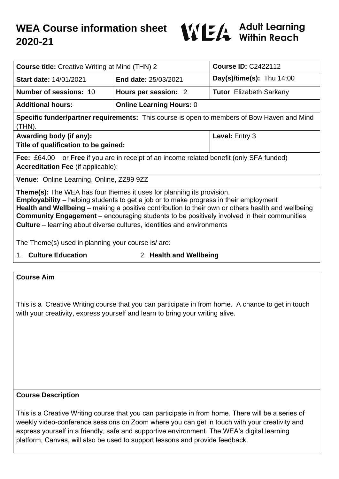

| <b>Course title:</b> Creative Writing at Mind (THN) 2                                                                                                                                                                                                                                                                                                                                                                                                                   |                                 | <b>Course ID: C2422112</b>     |
|-------------------------------------------------------------------------------------------------------------------------------------------------------------------------------------------------------------------------------------------------------------------------------------------------------------------------------------------------------------------------------------------------------------------------------------------------------------------------|---------------------------------|--------------------------------|
| <b>Start date: 14/01/2021</b>                                                                                                                                                                                                                                                                                                                                                                                                                                           | <b>End date: 25/03/2021</b>     | Day(s)/time(s): Thu $14:00$    |
| <b>Number of sessions: 10</b>                                                                                                                                                                                                                                                                                                                                                                                                                                           | Hours per session: 2            | <b>Tutor</b> Elizabeth Sarkany |
| <b>Additional hours:</b>                                                                                                                                                                                                                                                                                                                                                                                                                                                | <b>Online Learning Hours: 0</b> |                                |
| <b>Specific funder/partner requirements:</b> This course is open to members of Bow Haven and Mind<br>(THN).                                                                                                                                                                                                                                                                                                                                                             |                                 |                                |
| Awarding body (if any):<br>Title of qualification to be gained:                                                                                                                                                                                                                                                                                                                                                                                                         |                                 | Level: Entry 3                 |
| <b>Fee:</b> £64.00 or <b>Free</b> if you are in receipt of an income related benefit (only SFA funded)<br><b>Accreditation Fee (if applicable):</b>                                                                                                                                                                                                                                                                                                                     |                                 |                                |
| Venue: Online Learning, Online, ZZ99 9ZZ                                                                                                                                                                                                                                                                                                                                                                                                                                |                                 |                                |
| <b>Theme(s):</b> The WEA has four themes it uses for planning its provision.<br><b>Employability</b> – helping students to get a job or to make progress in their employment<br>Health and Wellbeing – making a positive contribution to their own or others health and wellbeing<br><b>Community Engagement</b> – encouraging students to be positively involved in their communities<br><b>Culture</b> – learning about diverse cultures, identities and environments |                                 |                                |
| The Theme(s) used in planning your course is/ are:                                                                                                                                                                                                                                                                                                                                                                                                                      |                                 |                                |
| 1. Culture Education<br>2. Health and Wellbeing                                                                                                                                                                                                                                                                                                                                                                                                                         |                                 |                                |

#### **Course Aim**

This is a Creative Writing course that you can participate in from home. A chance to get in touch with your creativity, express yourself and learn to bring your writing alive.

#### **Course Description**

This is a Creative Writing course that you can participate in from home. There will be a series of weekly video-conference sessions on Zoom where you can get in touch with your creativity and express yourself in a friendly, safe and supportive environment. The WEA's digital learning platform, Canvas, will also be used to support lessons and provide feedback.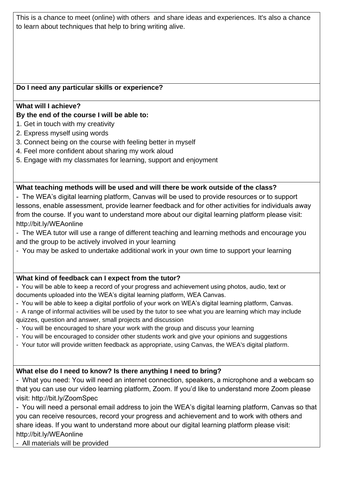This is a chance to meet (online) with others and share ideas and experiences. It's also a chance to learn about techniques that help to bring writing alive.

# **Do I need any particular skills or experience?**

### **What will I achieve?**

# **By the end of the course I will be able to:**

- 1. Get in touch with my creativity
- 2. Express myself using words
- 3. Connect being on the course with feeling better in myself
- 4. Feel more confident about sharing my work aloud
- 5. Engage with my classmates for learning, support and enjoyment

#### **What teaching methods will be used and will there be work outside of the class?**

- The WEA's digital learning platform, Canvas will be used to provide resources or to support lessons, enable assessment, provide learner feedback and for other activities for individuals away from the course. If you want to understand more about our digital learning platform please visit: http://bit.ly/WEAonline
- The WEA tutor will use a range of different teaching and learning methods and encourage you and the group to be actively involved in your learning
- You may be asked to undertake additional work in your own time to support your learning

# **What kind of feedback can I expect from the tutor?**

- You will be able to keep a record of your progress and achievement using photos, audio, text or documents uploaded into the WEA's digital learning platform, WEA Canvas.

- You will be able to keep a digital portfolio of your work on WEA's digital learning platform, Canvas.
- A range of informal activities will be used by the tutor to see what you are learning which may include quizzes, question and answer, small projects and discussion
- You will be encouraged to share your work with the group and discuss your learning
- You will be encouraged to consider other students work and give your opinions and suggestions
- Your tutor will provide written feedback as appropriate, using Canvas, the WEA's digital platform.

# **What else do I need to know? Is there anything I need to bring?**

- What you need: You will need an internet connection, speakers, a microphone and a webcam so that you can use our video learning platform, Zoom. If you'd like to understand more Zoom please visit: http://bit.ly/ZoomSpec

- You will need a personal email address to join the WEA's digital learning platform, Canvas so that you can receive resources, record your progress and achievement and to work with others and share ideas. If you want to understand more about our digital learning platform please visit: http://bit.ly/WEAonline

- All materials will be provided